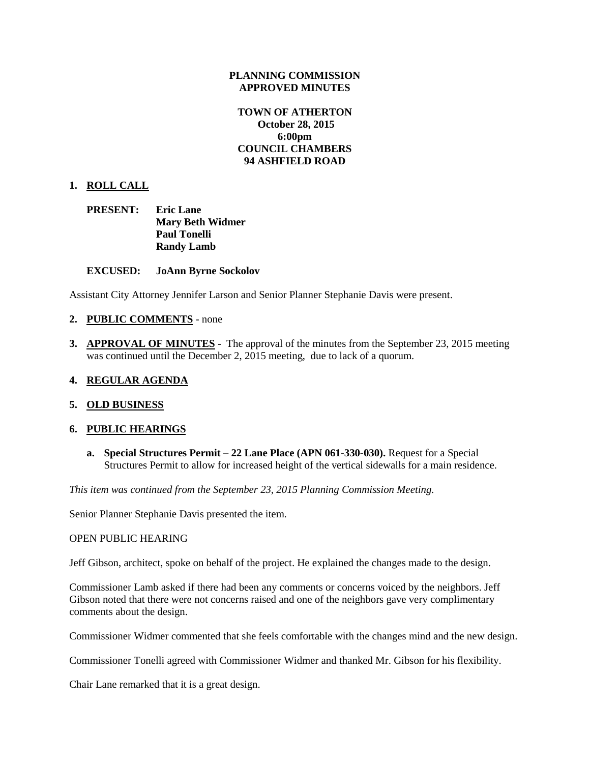#### **PLANNING COMMISSION APPROVED MINUTES**

### **TOWN OF ATHERTON October 28, 2015 6:00pm COUNCIL CHAMBERS 94 ASHFIELD ROAD**

#### **1. ROLL CALL**

| PRESENT: | <b>Eric Lane</b>        |
|----------|-------------------------|
|          | <b>Mary Beth Widmer</b> |
|          | <b>Paul Tonelli</b>     |
|          | <b>Randy Lamb</b>       |

#### **EXCUSED: JoAnn Byrne Sockolov**

Assistant City Attorney Jennifer Larson and Senior Planner Stephanie Davis were present.

#### **2. PUBLIC COMMENTS** - none

**3. APPROVAL OF MINUTES** - The approval of the minutes from the September 23, 2015 meeting was continued until the December 2, 2015 meeting, due to lack of a quorum.

#### **4. REGULAR AGENDA**

#### **5. OLD BUSINESS**

#### **6. PUBLIC HEARINGS**

**a. Special Structures Permit – 22 Lane Place (APN 061-330-030).** Request for a Special Structures Permit to allow for increased height of the vertical sidewalls for a main residence.

*This item was continued from the September 23, 2015 Planning Commission Meeting.*

Senior Planner Stephanie Davis presented the item.

#### OPEN PUBLIC HEARING

Jeff Gibson, architect, spoke on behalf of the project. He explained the changes made to the design.

Commissioner Lamb asked if there had been any comments or concerns voiced by the neighbors. Jeff Gibson noted that there were not concerns raised and one of the neighbors gave very complimentary comments about the design.

Commissioner Widmer commented that she feels comfortable with the changes mind and the new design.

Commissioner Tonelli agreed with Commissioner Widmer and thanked Mr. Gibson for his flexibility.

Chair Lane remarked that it is a great design.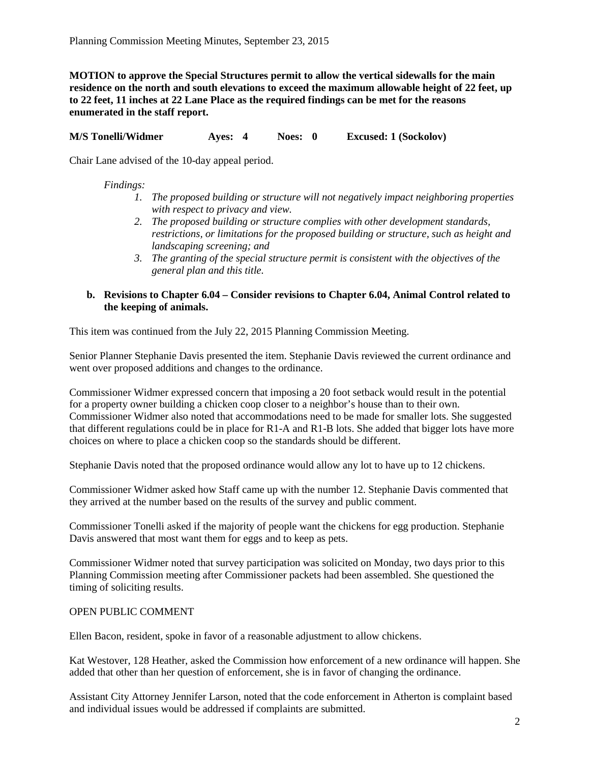**MOTION to approve the Special Structures permit to allow the vertical sidewalls for the main residence on the north and south elevations to exceed the maximum allowable height of 22 feet, up to 22 feet, 11 inches at 22 Lane Place as the required findings can be met for the reasons enumerated in the staff report.**

**M/S Tonelli/Widmer Ayes: 4 Noes: 0 Excused: 1 (Sockolov)**

Chair Lane advised of the 10-day appeal period.

#### *Findings:*

- *1. The proposed building or structure will not negatively impact neighboring properties with respect to privacy and view.*
- *2. The proposed building or structure complies with other development standards, restrictions, or limitations for the proposed building or structure, such as height and landscaping screening; and*
- *3. The granting of the special structure permit is consistent with the objectives of the general plan and this title.*

### **b. Revisions to Chapter 6.04 – Consider revisions to Chapter 6.04, Animal Control related to the keeping of animals.**

This item was continued from the July 22, 2015 Planning Commission Meeting.

Senior Planner Stephanie Davis presented the item. Stephanie Davis reviewed the current ordinance and went over proposed additions and changes to the ordinance.

Commissioner Widmer expressed concern that imposing a 20 foot setback would result in the potential for a property owner building a chicken coop closer to a neighbor's house than to their own. Commissioner Widmer also noted that accommodations need to be made for smaller lots. She suggested that different regulations could be in place for R1-A and R1-B lots. She added that bigger lots have more choices on where to place a chicken coop so the standards should be different.

Stephanie Davis noted that the proposed ordinance would allow any lot to have up to 12 chickens.

Commissioner Widmer asked how Staff came up with the number 12. Stephanie Davis commented that they arrived at the number based on the results of the survey and public comment.

Commissioner Tonelli asked if the majority of people want the chickens for egg production. Stephanie Davis answered that most want them for eggs and to keep as pets.

Commissioner Widmer noted that survey participation was solicited on Monday, two days prior to this Planning Commission meeting after Commissioner packets had been assembled. She questioned the timing of soliciting results.

#### OPEN PUBLIC COMMENT

Ellen Bacon, resident, spoke in favor of a reasonable adjustment to allow chickens.

Kat Westover, 128 Heather, asked the Commission how enforcement of a new ordinance will happen. She added that other than her question of enforcement, she is in favor of changing the ordinance.

Assistant City Attorney Jennifer Larson, noted that the code enforcement in Atherton is complaint based and individual issues would be addressed if complaints are submitted.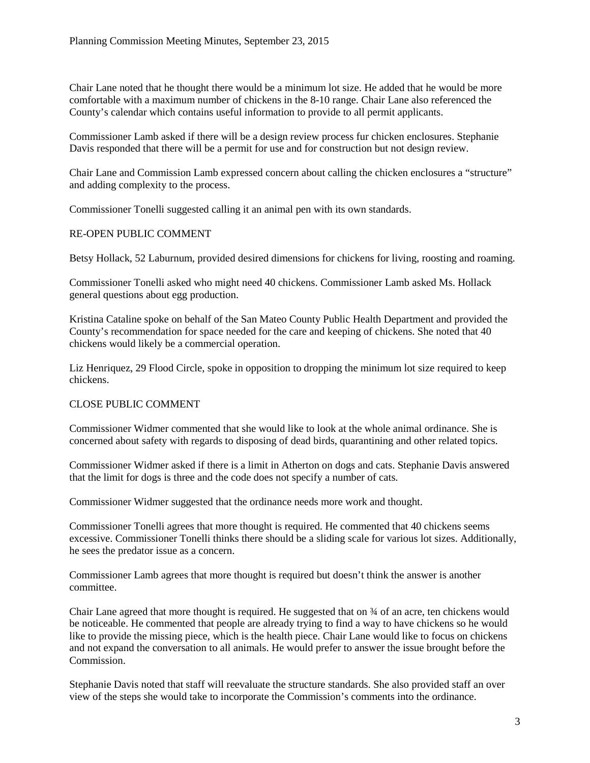Chair Lane noted that he thought there would be a minimum lot size. He added that he would be more comfortable with a maximum number of chickens in the 8-10 range. Chair Lane also referenced the County's calendar which contains useful information to provide to all permit applicants.

Commissioner Lamb asked if there will be a design review process fur chicken enclosures. Stephanie Davis responded that there will be a permit for use and for construction but not design review.

Chair Lane and Commission Lamb expressed concern about calling the chicken enclosures a "structure" and adding complexity to the process.

Commissioner Tonelli suggested calling it an animal pen with its own standards.

#### RE-OPEN PUBLIC COMMENT

Betsy Hollack, 52 Laburnum, provided desired dimensions for chickens for living, roosting and roaming.

Commissioner Tonelli asked who might need 40 chickens. Commissioner Lamb asked Ms. Hollack general questions about egg production.

Kristina Cataline spoke on behalf of the San Mateo County Public Health Department and provided the County's recommendation for space needed for the care and keeping of chickens. She noted that 40 chickens would likely be a commercial operation.

Liz Henriquez, 29 Flood Circle, spoke in opposition to dropping the minimum lot size required to keep chickens.

#### CLOSE PUBLIC COMMENT

Commissioner Widmer commented that she would like to look at the whole animal ordinance. She is concerned about safety with regards to disposing of dead birds, quarantining and other related topics.

Commissioner Widmer asked if there is a limit in Atherton on dogs and cats. Stephanie Davis answered that the limit for dogs is three and the code does not specify a number of cats.

Commissioner Widmer suggested that the ordinance needs more work and thought.

Commissioner Tonelli agrees that more thought is required. He commented that 40 chickens seems excessive. Commissioner Tonelli thinks there should be a sliding scale for various lot sizes. Additionally, he sees the predator issue as a concern.

Commissioner Lamb agrees that more thought is required but doesn't think the answer is another committee.

Chair Lane agreed that more thought is required. He suggested that on ¾ of an acre, ten chickens would be noticeable. He commented that people are already trying to find a way to have chickens so he would like to provide the missing piece, which is the health piece. Chair Lane would like to focus on chickens and not expand the conversation to all animals. He would prefer to answer the issue brought before the Commission.

Stephanie Davis noted that staff will reevaluate the structure standards. She also provided staff an over view of the steps she would take to incorporate the Commission's comments into the ordinance.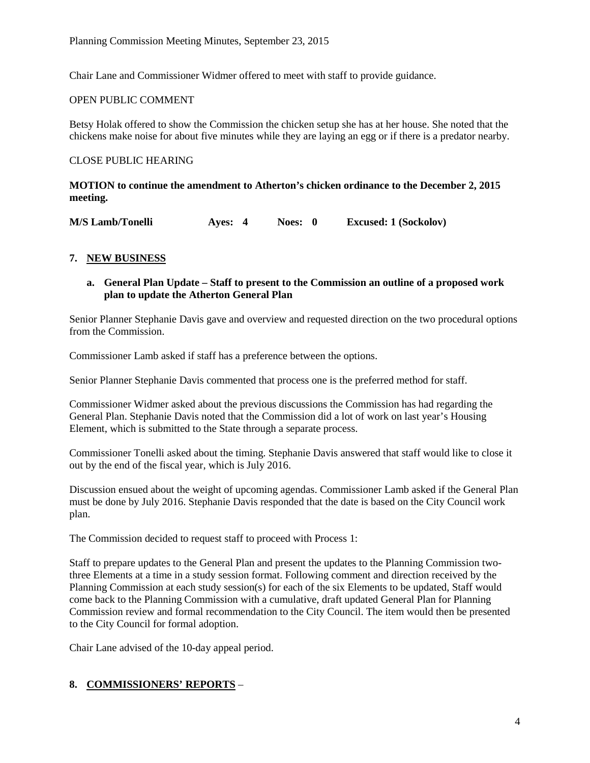Chair Lane and Commissioner Widmer offered to meet with staff to provide guidance.

### OPEN PUBLIC COMMENT

Betsy Holak offered to show the Commission the chicken setup she has at her house. She noted that the chickens make noise for about five minutes while they are laying an egg or if there is a predator nearby.

### CLOSE PUBLIC HEARING

**MOTION to continue the amendment to Atherton's chicken ordinance to the December 2, 2015 meeting.**

**M/S Lamb/Tonelli Ayes: 4 Noes: 0 Excused: 1 (Sockolov)**

## **7. NEW BUSINESS**

### **a. General Plan Update – Staff to present to the Commission an outline of a proposed work plan to update the Atherton General Plan**

Senior Planner Stephanie Davis gave and overview and requested direction on the two procedural options from the Commission.

Commissioner Lamb asked if staff has a preference between the options.

Senior Planner Stephanie Davis commented that process one is the preferred method for staff.

Commissioner Widmer asked about the previous discussions the Commission has had regarding the General Plan. Stephanie Davis noted that the Commission did a lot of work on last year's Housing Element, which is submitted to the State through a separate process.

Commissioner Tonelli asked about the timing. Stephanie Davis answered that staff would like to close it out by the end of the fiscal year, which is July 2016.

Discussion ensued about the weight of upcoming agendas. Commissioner Lamb asked if the General Plan must be done by July 2016. Stephanie Davis responded that the date is based on the City Council work plan.

The Commission decided to request staff to proceed with Process 1:

Staff to prepare updates to the General Plan and present the updates to the Planning Commission twothree Elements at a time in a study session format. Following comment and direction received by the Planning Commission at each study session(s) for each of the six Elements to be updated, Staff would come back to the Planning Commission with a cumulative, draft updated General Plan for Planning Commission review and formal recommendation to the City Council. The item would then be presented to the City Council for formal adoption.

Chair Lane advised of the 10-day appeal period.

## **8. COMMISSIONERS' REPORTS** –